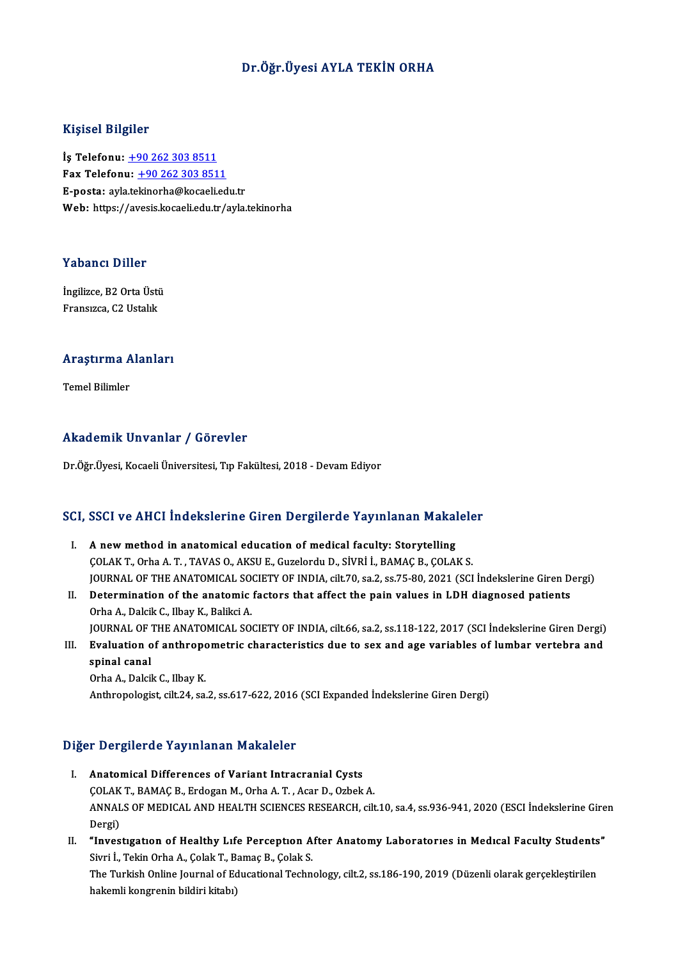### Dr.Öğr.Üyesi AYLA TEKİN ORHA

#### Kişisel Bilgiler

İş Telefonu: +90 262 303 8511 Fax Telefonu:  $+902623038511$ E-posta: ayla[.tekinorha@kocaeli.ed](tel:+90 262 303 8511)u.tr Web: https://avesis.kocaeli.edu.tr/ayla.tekinorha

#### Yabancı Diller

**Yabancı Diller<br>İngilizce, B2 Orta Üstü<br>Fransızca G2 Ustablı** Tubuner Birici<br>İngilizce, B2 Orta Üsti<br>Fransızca, C2 Ustalık

## rransızca, Cz ostalık<br>Araştırma Alanları <mark>Araştırma A</mark><br>Temel Bilimler

## Akademik Unvanlar / Görevler

Dr.Öğr.Üyesi, Kocaeli Üniversitesi, Tıp Fakültesi, 2018 - Devam Ediyor

# br.ogr.oyesi, Kocaeli Universitesi, Tip Faktiftesi, 2018 - Devam Ediyor<br>SCI, SSCI ve AHCI İndekslerine Giren Dergilerde Yayınlanan Makaleler

- CI, SSCI ve AHCI Indekslerine Giren Dergilerde Yayınlanan Makal<br>I. A new method in anatomical education of medical faculty: Storytelling<br>COLAKT Orba A T. TAVAS O. AKSUE Curelardu D. Sivpi i, PAMAC B. COLAI I. A new method in anatomical education of medical faculty: Storytelling<br>COLAK T., Orha A.T., TAVAS O., AKSU E., Guzelordu D., SİVRİ İ., BAMAÇ B., ÇOLAK S. A new method in anatomical education of medical faculty: Storytelling<br>ÇOLAK T., Orha A. T. , TAVAS O., AKSU E., Guzelordu D., SİVRİ İ., BAMAÇ B., ÇOLAK S.<br>JOURNAL OF THE ANATOMICAL SOCIETY OF INDIA, cilt.70, sa.2, ss.75-80 COLAK T., Orha A. T., TAVAS O., AKSU E., Guzelordu D., SİVRİ İ., BAMAÇ B., ÇOLAK S.<br>JOURNAL OF THE ANATOMICAL SOCIETY OF INDIA, cilt.70, sa.2, ss.75-80, 2021 (SCI İndekslerine Giren D<br>II. Determination of the anatomic fact
- **JOURNAL OF THE ANATOMICAL SONAL SONAL PROPER AT ALCORATION CONTROLL SONAL PROPERTY OF THE ANATOMICAL SONAL PROPERTY OF THE ANATOMICAL SON** Determination of the anatomic factors that affect the pain values in LDH diagnosed patients<br>Orha A., Dalcik C., Ilbay K., Balikci A.<br>JOURNAL OF THE ANATOMICAL SOCIETY OF INDIA, cilt.66, sa.2, ss.118-122, 2017 (SCI İndeksle Orha A., Dalcik C., Ilbay K., Balikci A.<br>JOURNAL OF THE ANATOMICAL SOCIETY OF INDIA, cilt.66, sa.2, ss.118-122, 2017 (SCI İndekslerine Giren Dergi)<br>III. Evaluation of anthropometric characteristics due to sex and age varia
- **JOURNAL OF**<br>Evaluation of<br>spinal canal<br>Orba A Dalsi III. Evaluation of anthropometric characteristics due to sex and age variables of lumbar vertebra and spinal canal<br>Orha A., Dalcik C., Ilbay K.

Anthropologist, cilt.24, sa.2, ss.617-622, 2016 (SCI Expanded İndekslerine Giren Dergi)

#### Diğer Dergilerde Yayınlanan Makaleler

- I. Anatomical Differences of Variant Intracranial Cysts ÇOLAKT.,BAMAÇB.,ErdoganM.,OrhaA.T. ,AcarD.,OzbekA. Anatomical Differences of Variant Intracranial Cysts<br>ÇOLAK T., BAMAÇ B., Erdogan M., Orha A. T. , Acar D., Ozbek A.<br>ANNALS OF MEDICAL AND HEALTH SCIENCES RESEARCH, cilt.10, sa.4, ss.936-941, 2020 (ESCI İndekslerine Giren<br>P COLAK<br>ANNAL<br>Dergi)<br>"Inves ANNALS OF MEDICAL AND HEALTH SCIENCES RESEARCH, cilt.10, sa.4, ss.936-941, 2020 (ESCI İndekslerine Gire<br>Dergi)<br>II. "Investigation of Healthy Life Perception After Anatomy Laboratories in Medical Faculty Students"<br>Simi J. T
- Dergi)<br>**"Investigation of Healthy Life Perception A**<br>Sivri İ., Tekin Orha A., Çolak T., Bamaç B., Çolak S.<br>The Turkish Orline Journal of Educational Teshn "Investigation of Healthy Life Perception After Anatomy Laboratories in Medical Faculty Students<br>Sivri İ., Tekin Orha A., Çolak T., Bamaç B., Çolak S.<br>The Turkish Online Journal of Educational Technology, cilt.2, ss.186-19 Sivri İ., Tekin Orha A., Çolak T., Bamaç B., Çolak S.<br>The Turkish Online Journal of Educational Technology, cilt.2, ss.186-190, 2019 (Düzenli olarak gerçekleştirilen<br>hakemli kongrenin bildiri kitabı)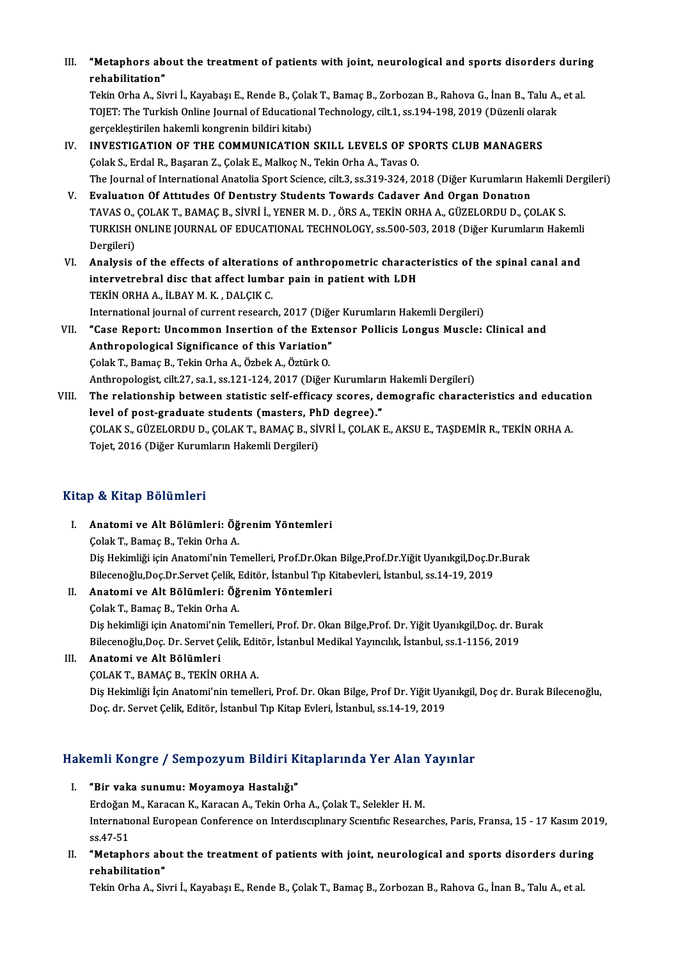III. "Metaphors about the treatment of patients with joint, neurological and sports disorders during<br>rebebilitation" **"Metaphors ab**<br>rehabilitation**"**<br>Tekin Orbe A. Sir **"Metaphors about the treatment of patients with joint, neurological and sports disorders durin<br>rehabilitation"**<br>Tekin Orha A., Sivri İ., Kayabaşı E., Rende B., Çolak T., Bamaç B., Zorbozan B., Rahova G., İnan B., Talu A.,

rehabilitation"<br>Tekin Orha A., Sivri İ., Kayabaşı E., Rende B., Çolak T., Bamaç B., Zorbozan B., Rahova G., İnan B., Talu A.,<br>TOJET: The Turkish Online Journal of Educational Technology, cilt.1, ss.194-198, 2019 (Düzenli o Tekin Orha A., Sivri İ., Kayabaşı E., Rende B., Çolal<br>TOJET: The Turkish Online Journal of Educational<br>gerçekleştirilen hakemli kongrenin bildiri kitabı)<br>INVESTIC ATION OF THE COMMUNICATION TOJET: The Turkish Online Journal of Educational Technology, cilt.1, ss.194-198, 2019 (Düzenli olar gerçekleştirilen hakemli kongrenin bildiri kitabı)<br>IV. INVESTIGATION OF THE COMMUNICATION SKILL LEVELS OF SPORTS CLUB MANA

- gerçekleştirilen hakemli kongrenin bildiri kitabı)<br>INVESTIGATION OF THE COMMUNICATION SKILL LEVELS OF SP<br>Çolak S., Erdal R., Başaran Z., Çolak E., Malkoç N., Tekin Orha A., Tavas O.<br>The Journal of International Anatolia Sp INVESTIGATION OF THE COMMUNICATION SKILL LEVELS OF SPORTS CLUB MANAGERS<br>Çolak S., Erdal R., Başaran Z., Çolak E., Malkoç N., Tekin Orha A., Tavas O.<br>The Journal of International Anatolia Sport Science, cilt.3, ss.319-324, Çolak S., Erdal R., Başaran Z., Çolak E., Malkoç N., Tekin Orha A., Tavas O.<br>The Journal of International Anatolia Sport Science, cilt.3, ss.319-324, 2018 (Diğer Kurumların Hakemli Dergileri)<br>V. Evaluatıon Of Attıtudes
- The Journal of International Anatolia Sport Science, cilt.3, ss.319-324, 2018 (Diğer Kurumların Hakemli i<br><mark>Evaluation Of Attitudes Of Dentistry Students Towards Cadaver And Organ Donation</mark><br>TAVAS O., ÇOLAK T., BAMAÇ B., SİV TURKISH ONLINE JOURNAL OF EDUCATIONAL TECHNOLOGY, ss.500-503, 2018 (Diğer Kurumların Hakemli Dergileri) TAVAS O.,<br>TURKISH (<br>Dergileri)<br>Analysis
- VI. Analysis of the effects of alterations of anthropometric characteristics of the spinal canal and Dergileri)<br>Analysis of the effects of alterations of anthropometric charact<br>intervetrebral disc that affect lumbar pain in patient with LDH<br>TEKIN ORHA A, ILBAY M, K, DALGIK G Analysis of the effects of alteration<br>intervetrebral disc that affect lumb<br>TEKİN ORHA A., İLBAY M. K. , DALÇIK C.<br>International journal of gurrent research Intervetrebral disc that affect lumbar pain in patient with LDH<br>TEKİN ORHA A., İLBAY M. K. , DALÇIK C.<br>International journal of current research, 2017 (Diğer Kurumların Hakemli Dergileri)<br>"Case Benert: Ungemmen Insertian o TEKİN ORHA A., İLBAY M. K. , DALÇIK C.<br>International journal of current research, 2017 (Diğer Kurumların Hakemli Dergileri)<br>VII. "Case Report: Uncommon Insertion of the Extensor Pollicis Longus Muscle: Clinical and<br>Anthrop
- International journal of current research, 2017 (Diğe<br>"Case Report: Uncommon Insertion of the Exte<br>Anthropological Significance of this Variation"<br>Colak T. Bamas B. Tokin Orba A. Örbek A. Örtürk O "Case Report: Uncommon Insertion of the Exte<br>Anthropological Significance of this Variation"<br>Colak T., Bamaç B., Tekin Orha A., Özbek A., Öztürk O.<br>Anthropologist silt 27.03.1.03.121.124.2017 (Dižen Anthropological Significance of this Variation"<br>Çolak T., Bamaç B., Tekin Orha A., Özbek A., Öztürk O.<br>Anthropologist, cilt.27, sa.1, ss.121-124, 2017 (Diğer Kurumların Hakemli Dergileri)<br>The relationship hatween statistis
- Colak T., Bamaç B., Tekin Orha A., Özbek A., Öztürk O.<br>Anthropologist, cilt.27, sa.1, ss.121-124, 2017 (Diğer Kurumların Hakemli Dergileri)<br>VIII. The relationship between statistic self-efficacy scores, demografic characte Anthropologist, cilt.27, sa.1, ss.121-124, 2017 (Diğer Kurumlarır<br>The relationship between statistic self-efficacy scores, devel of post-graduate students (masters, PhD degree)."<br>COLAKS CÜZELOPDUD COLAKT PAMACP SİVPİ LOLAK The relationship between statistic self-efficacy scores, demografic characteristics and educat<br>level of post-graduate students (masters, PhD degree)."<br>ÇOLAK S., GÜZELORDU D., ÇOLAK T., BAMAÇ B., SİVRİ İ., ÇOLAK E., AKSU E. le<mark>vel of post-graduate students (masters, Ph</mark><br>ÇOLAK S., GÜZELORDU D., ÇOLAK T., BAMAÇ B., SİV<br>Tojet, 2016 (Diğer Kurumların Hakemli Dergileri) Tojet, 2016 (Diğer Kurumların Hakemli Dergileri)<br>Kitap & Kitap Bölümleri

- I. Anatomi ve Alt Bölümleri: ÖğrenimYöntemleri ÇolakT.,BamaçB.,TekinOrhaA. Anatomi ve Alt Bölümleri: Öğrenim Yöntemleri<br>Çolak T., Bamaç B., Tekin Orha A.<br>Diş Hekimliği için Anatomi'nin Temelleri, Prof.Dr.Okan Bilge,Prof.Dr.Yiğit Uyanıkgil,Doç.Dr.Burak<br>Bilgeeneğlu Des Dr Servet Celik, Editön İstan Çolak T., Bamaç B., Tekin Orha A.<br>Diş Hekimliği için Anatomi'nin Temelleri, Prof.Dr.Okan Bilge,Prof.Dr.Yiğit Uyanıkgil,Doç.Dı<br>Bilecenoğlu,Doç.Dr.Servet Çelik, Editör, İstanbul Tıp Kitabevleri, İstanbul, ss.14-19, 2019<br>Anat Bilecenoğlu, Doç.Dr.Servet Çelik, Editör, İstanbul Tıp Kitabevleri, İstanbul, ss.14-19, 2019
- II. Anatomi ve Alt Bölümleri: Öğrenim Yöntemleri<br>Çolak T., Bamaç B., Tekin Orha A. Anatomi ve Alt Bölümleri: Öğrenim Yöntemleri<br>Çolak T., Bamaç B., Tekin Orha A.<br>Diş hekimliği için Anatomi'nin Temelleri, Prof. Dr. Okan Bilge,Prof. Dr. Yiğit Uyanıkgil,Doç. dr. Burak<br>Bilgeeneğlu Des Dr. Servet Celik, Editö Çolak T., Bamaç B., Tekin Orha A.<br>Diş hekimliği için Anatomi'nin Temelleri, Prof. Dr. Okan Bilge,Prof. Dr. Yiğit Uyanıkgil,Doç. dr. B<br>Bilecenoğlu,Doç. Dr. Servet Çelik, Editör, İstanbul Medikal Yayıncılık, İstanbul, ss.1-1 Bilecenoğlu, Doç. Dr. Servet Çelik, Editör, İstanbul Medikal Yayıncılık, İstanbul, ss.1-1156, 2019

### III. Anatomi ve Alt Bölümleri<br>COLAK T., BAMAÇ B., TEKİN ORHA A.

Anatomi ve Alt Bölümleri<br>ÇOLAK T., BAMAÇ B., TEKİN ORHA A.<br>Diş Hekimliği İçin Anatomi'nin temelleri, Prof. Dr. Okan Bilge, Prof Dr. Yiğit Uyanıkgil, Doç dr. Burak Bilecenoğlu,<br>Doç dr. Sorvet Çolik, Editör, İstanbul Tın Kit ÇOLAK T., BAMAÇ B., TEKİN ORHA A.<br>Diş Hekimliği İçin Anatomi'nin temelleri, Prof. Dr. Okan Bilge, Prof Dr. Yiğit Uya<br>Doç. dr. Servet Çelik, Editör, İstanbul Tıp Kitap Evleri, İstanbul, ss.14-19, 2019

# Doç, ar. servet çelik, Editor, İstanbul' ilp Kitap Evleri, İstanbul, SS.14-19, 2019<br>Hakemli Kongre / Sempozyum Bildiri Kitaplarında Yer Alan Yayınlar

- akemli Kongre / Sempozyum Bildiri K<br>I. "Bir vaka sunumu: Moyamoya Hastalığı"<br>Erdeğan M. Karasan K. Karasan A. Tekin Orb enin Kongre 7 Sompozyum Brunt Kitapiai inuu 1 or filum.<br>"Bir vaka sunumu: Moyamoya Hastalığı"<br>Erdoğan M., Karacan K., Karacan A., Tekin Orha A., Çolak T., Selekler H. M.<br>International Euronean Conference on Intendiscuplumu I. "Bir vaka sunumu: Moyamoya Hastalığı"<br>Erdoğan M., Karacan K., Karacan A., Tekin Orha A., Çolak T., Selekler H. M.<br>International European Conference on Interdisciplinary Scientific Researches, Paris, Fransa, 15 - 17 Kası Erdoğan<br>Internation<br>ss.47-51 International European Conference on Interdisciplinary Scientific Researches, Paris, Fransa, 15 - 17 Kasim 201<br>55.47-51<br>II. "Metaphors about the treatment of patients with joint, neurological and sports disorders during<br>ma
- ss.47-51<br>**"Metaphors ab**<br>rehabilitation"<br>Tekin Orba A. Sir "Metaphors about the treatment of patients with joint, neurological and sports disorders durir<br>rehabilitation"<br>Tekin Orha A., Sivri İ., Kayabaşı E., Rende B., Çolak T., Bamaç B., Zorbozan B., Rahova G., İnan B., Talu A., e